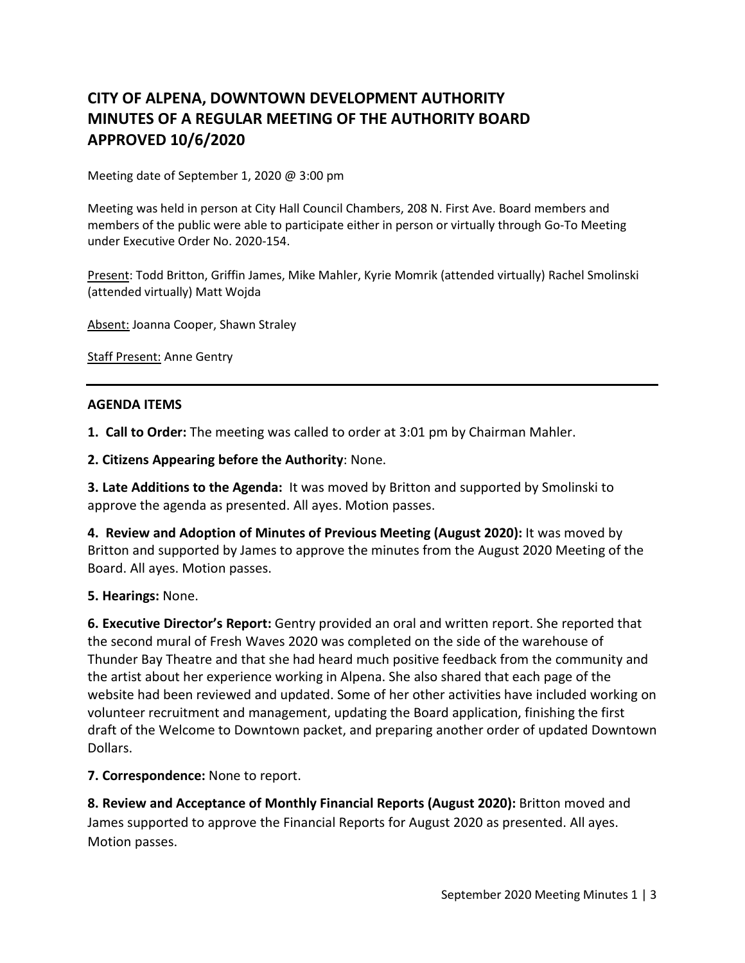# **CITY OF ALPENA, DOWNTOWN DEVELOPMENT AUTHORITY MINUTES OF A REGULAR MEETING OF THE AUTHORITY BOARD APPROVED 10/6/2020**

Meeting date of September 1, 2020 @ 3:00 pm

Meeting was held in person at City Hall Council Chambers, 208 N. First Ave. Board members and members of the public were able to participate either in person or virtually through Go-To Meeting under Executive Order No. 2020-154.

Present: Todd Britton, Griffin James, Mike Mahler, Kyrie Momrik (attended virtually) Rachel Smolinski (attended virtually) Matt Wojda

Absent: Joanna Cooper, Shawn Straley

Staff Present: Anne Gentry

### **AGENDA ITEMS**

**1. Call to Order:** The meeting was called to order at 3:01 pm by Chairman Mahler.

**2. Citizens Appearing before the Authority**: None.

**3. Late Additions to the Agenda:** It was moved by Britton and supported by Smolinski to approve the agenda as presented. All ayes. Motion passes.

**4. Review and Adoption of Minutes of Previous Meeting (August 2020):** It was moved by Britton and supported by James to approve the minutes from the August 2020 Meeting of the Board. All ayes. Motion passes.

### **5. Hearings:** None.

**6. Executive Director's Report:** Gentry provided an oral and written report. She reported that the second mural of Fresh Waves 2020 was completed on the side of the warehouse of Thunder Bay Theatre and that she had heard much positive feedback from the community and the artist about her experience working in Alpena. She also shared that each page of the website had been reviewed and updated. Some of her other activities have included working on volunteer recruitment and management, updating the Board application, finishing the first draft of the Welcome to Downtown packet, and preparing another order of updated Downtown Dollars.

### **7. Correspondence:** None to report.

**8. Review and Acceptance of Monthly Financial Reports (August 2020):** Britton moved and James supported to approve the Financial Reports for August 2020 as presented. All ayes. Motion passes.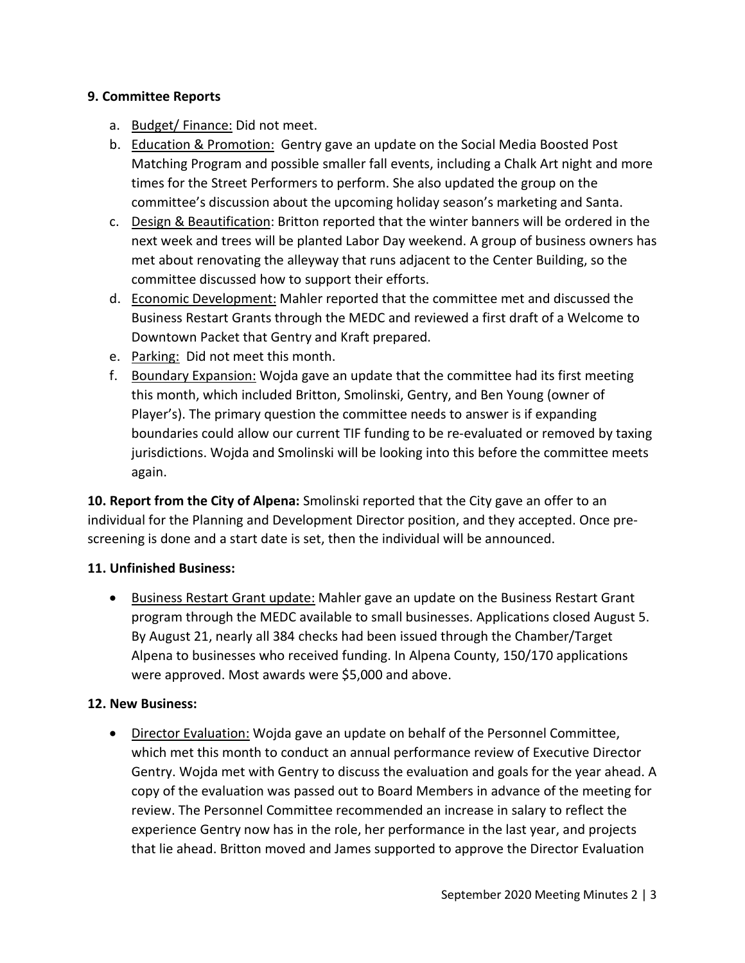## **9. Committee Reports**

- a. Budget/Finance: Did not meet.
- b. Education & Promotion: Gentry gave an update on the Social Media Boosted Post Matching Program and possible smaller fall events, including a Chalk Art night and more times for the Street Performers to perform. She also updated the group on the committee's discussion about the upcoming holiday season's marketing and Santa.
- c. Design & Beautification: Britton reported that the winter banners will be ordered in the next week and trees will be planted Labor Day weekend. A group of business owners has met about renovating the alleyway that runs adjacent to the Center Building, so the committee discussed how to support their efforts.
- d. Economic Development: Mahler reported that the committee met and discussed the Business Restart Grants through the MEDC and reviewed a first draft of a Welcome to Downtown Packet that Gentry and Kraft prepared.
- e. Parking: Did not meet this month.
- f. Boundary Expansion: Wojda gave an update that the committee had its first meeting this month, which included Britton, Smolinski, Gentry, and Ben Young (owner of Player's). The primary question the committee needs to answer is if expanding boundaries could allow our current TIF funding to be re-evaluated or removed by taxing jurisdictions. Wojda and Smolinski will be looking into this before the committee meets again.

**10. Report from the City of Alpena:** Smolinski reported that the City gave an offer to an individual for the Planning and Development Director position, and they accepted. Once prescreening is done and a start date is set, then the individual will be announced.

## **11. Unfinished Business:**

• Business Restart Grant update: Mahler gave an update on the Business Restart Grant program through the MEDC available to small businesses. Applications closed August 5. By August 21, nearly all 384 checks had been issued through the Chamber/Target Alpena to businesses who received funding. In Alpena County, 150/170 applications were approved. Most awards were \$5,000 and above.

## **12. New Business:**

• Director Evaluation: Wojda gave an update on behalf of the Personnel Committee, which met this month to conduct an annual performance review of Executive Director Gentry. Wojda met with Gentry to discuss the evaluation and goals for the year ahead. A copy of the evaluation was passed out to Board Members in advance of the meeting for review. The Personnel Committee recommended an increase in salary to reflect the experience Gentry now has in the role, her performance in the last year, and projects that lie ahead. Britton moved and James supported to approve the Director Evaluation